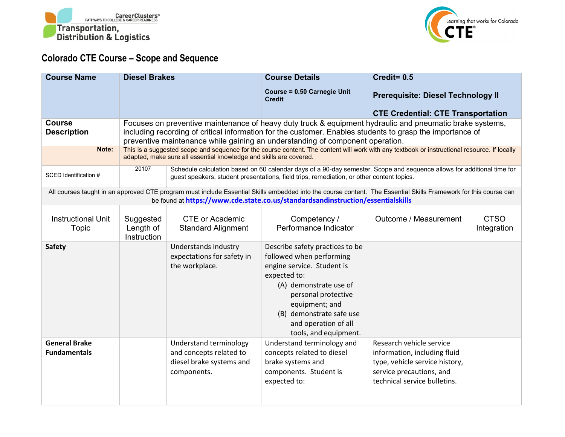



## **Colorado CTE Course – Scope and Sequence**

| <b>Course Name</b>                                                                                                                                                                                                                                  | <b>Diesel Brakes</b>                                                                                                                                                                                               |                                                                                                                                                                                                                     | <b>Course Details</b>                                                                                                                                                                                                                                     | Credit= $0.5$                                                                                                                                          |                            |  |
|-----------------------------------------------------------------------------------------------------------------------------------------------------------------------------------------------------------------------------------------------------|--------------------------------------------------------------------------------------------------------------------------------------------------------------------------------------------------------------------|---------------------------------------------------------------------------------------------------------------------------------------------------------------------------------------------------------------------|-----------------------------------------------------------------------------------------------------------------------------------------------------------------------------------------------------------------------------------------------------------|--------------------------------------------------------------------------------------------------------------------------------------------------------|----------------------------|--|
|                                                                                                                                                                                                                                                     |                                                                                                                                                                                                                    |                                                                                                                                                                                                                     | <b>Course = 0.50 Carnegie Unit</b><br><b>Credit</b>                                                                                                                                                                                                       | <b>Prerequisite: Diesel Technology II</b>                                                                                                              |                            |  |
|                                                                                                                                                                                                                                                     |                                                                                                                                                                                                                    |                                                                                                                                                                                                                     |                                                                                                                                                                                                                                                           | <b>CTE Credential: CTE Transportation</b>                                                                                                              |                            |  |
| <b>Course</b>                                                                                                                                                                                                                                       |                                                                                                                                                                                                                    |                                                                                                                                                                                                                     |                                                                                                                                                                                                                                                           | Focuses on preventive maintenance of heavy duty truck & equipment hydraulic and pneumatic brake systems,                                               |                            |  |
| <b>Description</b>                                                                                                                                                                                                                                  | including recording of critical information for the customer. Enables students to grasp the importance of<br>preventive maintenance while gaining an understanding of component operation.                         |                                                                                                                                                                                                                     |                                                                                                                                                                                                                                                           |                                                                                                                                                        |                            |  |
| Note:                                                                                                                                                                                                                                               | This is a suggested scope and sequence for the course content. The content will work with any textbook or instructional resource. If locally<br>adapted, make sure all essential knowledge and skills are covered. |                                                                                                                                                                                                                     |                                                                                                                                                                                                                                                           |                                                                                                                                                        |                            |  |
| SCED Identification #                                                                                                                                                                                                                               | 20107                                                                                                                                                                                                              | Schedule calculation based on 60 calendar days of a 90-day semester. Scope and sequence allows for additional time for<br>guest speakers, student presentations, field trips, remediation, or other content topics. |                                                                                                                                                                                                                                                           |                                                                                                                                                        |                            |  |
| All courses taught in an approved CTE program must include Essential Skills embedded into the course content. The Essential Skills Framework for this course can<br>be found at https://www.cde.state.co.us/standardsandinstruction/essentialskills |                                                                                                                                                                                                                    |                                                                                                                                                                                                                     |                                                                                                                                                                                                                                                           |                                                                                                                                                        |                            |  |
| <b>Instructional Unit</b><br><b>Topic</b>                                                                                                                                                                                                           | Suggested<br>Length of<br>Instruction                                                                                                                                                                              | <b>CTE or Academic</b><br><b>Standard Alignment</b>                                                                                                                                                                 | Competency /<br>Performance Indicator                                                                                                                                                                                                                     | Outcome / Measurement                                                                                                                                  | <b>CTSO</b><br>Integration |  |
| <b>Safety</b>                                                                                                                                                                                                                                       |                                                                                                                                                                                                                    | Understands industry<br>expectations for safety in<br>the workplace.                                                                                                                                                | Describe safety practices to be<br>followed when performing<br>engine service. Student is<br>expected to:<br>(A) demonstrate use of<br>personal protective<br>equipment; and<br>(B) demonstrate safe use<br>and operation of all<br>tools, and equipment. |                                                                                                                                                        |                            |  |
| <b>General Brake</b><br><b>Fundamentals</b>                                                                                                                                                                                                         |                                                                                                                                                                                                                    | Understand terminology<br>and concepts related to<br>diesel brake systems and<br>components.                                                                                                                        | Understand terminology and<br>concepts related to diesel<br>brake systems and<br>components. Student is<br>expected to:                                                                                                                                   | Research vehicle service<br>information, including fluid<br>type, vehicle service history,<br>service precautions, and<br>technical service bulletins. |                            |  |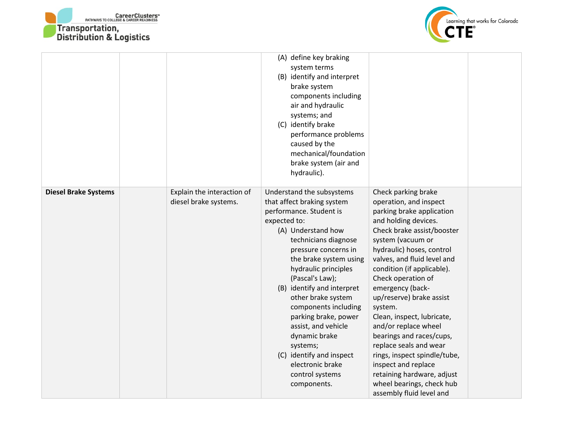



|                             |                                                     | (A) define key braking<br>system terms<br>(B) identify and interpret<br>brake system<br>components including<br>air and hydraulic<br>systems; and<br>(C) identify brake<br>performance problems<br>caused by the<br>mechanical/foundation<br>brake system (air and<br>hydraulic).                                                                                                                                                                                                       |                                                                                                                                                                                                                                                                                                                                                                                                                                                                                                                                                                                            |  |
|-----------------------------|-----------------------------------------------------|-----------------------------------------------------------------------------------------------------------------------------------------------------------------------------------------------------------------------------------------------------------------------------------------------------------------------------------------------------------------------------------------------------------------------------------------------------------------------------------------|--------------------------------------------------------------------------------------------------------------------------------------------------------------------------------------------------------------------------------------------------------------------------------------------------------------------------------------------------------------------------------------------------------------------------------------------------------------------------------------------------------------------------------------------------------------------------------------------|--|
| <b>Diesel Brake Systems</b> | Explain the interaction of<br>diesel brake systems. | Understand the subsystems<br>that affect braking system<br>performance. Student is<br>expected to:<br>(A) Understand how<br>technicians diagnose<br>pressure concerns in<br>the brake system using<br>hydraulic principles<br>(Pascal's Law);<br>(B) identify and interpret<br>other brake system<br>components including<br>parking brake, power<br>assist, and vehicle<br>dynamic brake<br>systems;<br>(C) identify and inspect<br>electronic brake<br>control systems<br>components. | Check parking brake<br>operation, and inspect<br>parking brake application<br>and holding devices.<br>Check brake assist/booster<br>system (vacuum or<br>hydraulic) hoses, control<br>valves, and fluid level and<br>condition (if applicable).<br>Check operation of<br>emergency (back-<br>up/reserve) brake assist<br>system.<br>Clean, inspect, lubricate,<br>and/or replace wheel<br>bearings and races/cups,<br>replace seals and wear<br>rings, inspect spindle/tube,<br>inspect and replace<br>retaining hardware, adjust<br>wheel bearings, check hub<br>assembly fluid level and |  |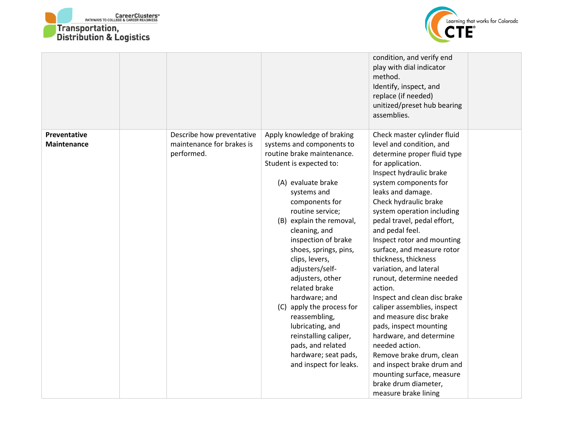



|                             |                                                                      |                                                                                                                                                                                                                                                                                                                                                                                                                                                                                                                                                       | condition, and verify end<br>play with dial indicator<br>method.<br>Identify, inspect, and<br>replace (if needed)<br>unitized/preset hub bearing<br>assemblies.                                                                                                                                                                                                                                                                                                                                                                                                                                                                                                                                                                                          |  |
|-----------------------------|----------------------------------------------------------------------|-------------------------------------------------------------------------------------------------------------------------------------------------------------------------------------------------------------------------------------------------------------------------------------------------------------------------------------------------------------------------------------------------------------------------------------------------------------------------------------------------------------------------------------------------------|----------------------------------------------------------------------------------------------------------------------------------------------------------------------------------------------------------------------------------------------------------------------------------------------------------------------------------------------------------------------------------------------------------------------------------------------------------------------------------------------------------------------------------------------------------------------------------------------------------------------------------------------------------------------------------------------------------------------------------------------------------|--|
| Preventative<br>Maintenance | Describe how preventative<br>maintenance for brakes is<br>performed. | Apply knowledge of braking<br>systems and components to<br>routine brake maintenance.<br>Student is expected to:<br>(A) evaluate brake<br>systems and<br>components for<br>routine service;<br>(B) explain the removal,<br>cleaning, and<br>inspection of brake<br>shoes, springs, pins,<br>clips, levers,<br>adjusters/self-<br>adjusters, other<br>related brake<br>hardware; and<br>(C) apply the process for<br>reassembling,<br>lubricating, and<br>reinstalling caliper,<br>pads, and related<br>hardware; seat pads,<br>and inspect for leaks. | Check master cylinder fluid<br>level and condition, and<br>determine proper fluid type<br>for application.<br>Inspect hydraulic brake<br>system components for<br>leaks and damage.<br>Check hydraulic brake<br>system operation including<br>pedal travel, pedal effort,<br>and pedal feel.<br>Inspect rotor and mounting<br>surface, and measure rotor<br>thickness, thickness<br>variation, and lateral<br>runout, determine needed<br>action.<br>Inspect and clean disc brake<br>caliper assemblies, inspect<br>and measure disc brake<br>pads, inspect mounting<br>hardware, and determine<br>needed action.<br>Remove brake drum, clean<br>and inspect brake drum and<br>mounting surface, measure<br>brake drum diameter,<br>measure brake lining |  |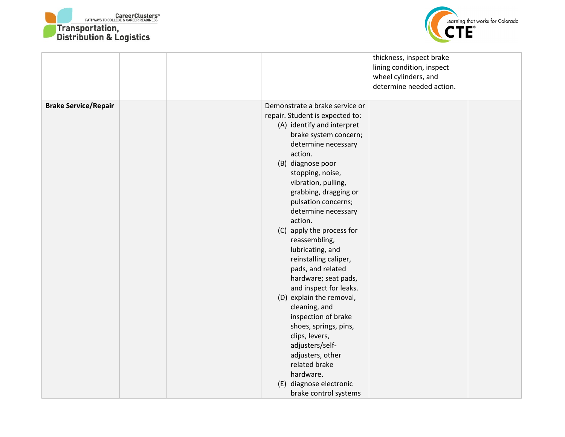



|                             |  |                                                                                                                                                                                                                                                                                                                                                                                                                                                                                                                                                                                                                                                                                                                        | thickness, inspect brake<br>lining condition, inspect<br>wheel cylinders, and<br>determine needed action. |  |
|-----------------------------|--|------------------------------------------------------------------------------------------------------------------------------------------------------------------------------------------------------------------------------------------------------------------------------------------------------------------------------------------------------------------------------------------------------------------------------------------------------------------------------------------------------------------------------------------------------------------------------------------------------------------------------------------------------------------------------------------------------------------------|-----------------------------------------------------------------------------------------------------------|--|
| <b>Brake Service/Repair</b> |  | Demonstrate a brake service or<br>repair. Student is expected to:<br>(A) identify and interpret<br>brake system concern;<br>determine necessary<br>action.<br>(B) diagnose poor<br>stopping, noise,<br>vibration, pulling,<br>grabbing, dragging or<br>pulsation concerns;<br>determine necessary<br>action.<br>(C) apply the process for<br>reassembling,<br>lubricating, and<br>reinstalling caliper,<br>pads, and related<br>hardware; seat pads,<br>and inspect for leaks.<br>(D) explain the removal,<br>cleaning, and<br>inspection of brake<br>shoes, springs, pins,<br>clips, levers,<br>adjusters/self-<br>adjusters, other<br>related brake<br>hardware.<br>(E) diagnose electronic<br>brake control systems |                                                                                                           |  |
|                             |  |                                                                                                                                                                                                                                                                                                                                                                                                                                                                                                                                                                                                                                                                                                                        |                                                                                                           |  |